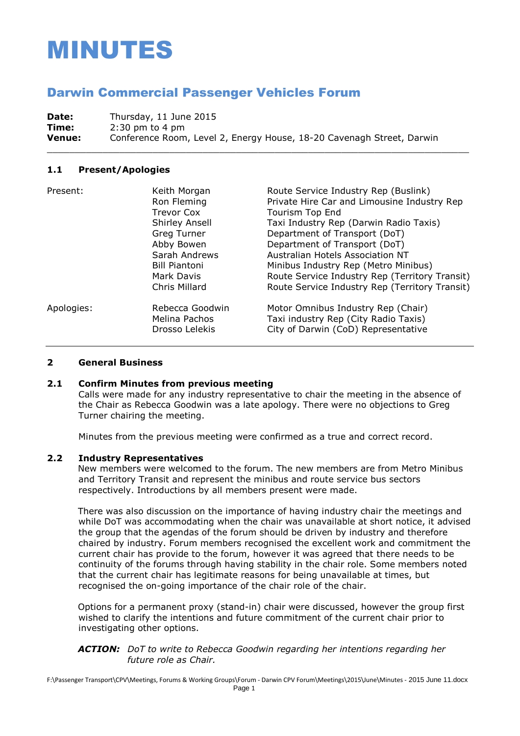# MINUTES

## Darwin Commercial Passenger Vehicles Forum

**Date:** Thursday, 11 June 2015 **Time:** 2:30 pm to 4 pm **Venue:** Conference Room, Level 2, Energy House, 18-20 Cavenagh Street, Darwin

\_\_\_\_\_\_\_\_\_\_\_\_\_\_\_\_\_\_\_\_\_\_\_\_\_\_\_\_\_\_\_\_\_\_\_\_\_\_\_\_\_\_\_\_\_\_\_\_\_\_\_\_\_\_\_\_\_\_\_\_\_\_\_\_\_\_\_\_\_\_\_\_\_\_\_\_

#### **1.1 Present/Apologies**

| Present:   | Keith Morgan<br>Ron Fleming<br>Trevor Cox<br>Shirley Ansell<br><b>Greg Turner</b><br>Abby Bowen<br>Sarah Andrews<br><b>Bill Piantoni</b><br>Mark Davis<br>Chris Millard | Route Service Industry Rep (Buslink)<br>Private Hire Car and Limousine Industry Rep<br><b>Tourism Top End</b><br>Taxi Industry Rep (Darwin Radio Taxis)<br>Department of Transport (DoT)<br>Department of Transport (DoT)<br>Australian Hotels Association NT<br>Minibus Industry Rep (Metro Minibus)<br>Route Service Industry Rep (Territory Transit)<br>Route Service Industry Rep (Territory Transit) |
|------------|-------------------------------------------------------------------------------------------------------------------------------------------------------------------------|-----------------------------------------------------------------------------------------------------------------------------------------------------------------------------------------------------------------------------------------------------------------------------------------------------------------------------------------------------------------------------------------------------------|
| Apologies: | Rebecca Goodwin<br>Melina Pachos<br>Drosso Lelekis                                                                                                                      | Motor Omnibus Industry Rep (Chair)<br>Taxi industry Rep (City Radio Taxis)<br>City of Darwin (CoD) Representative                                                                                                                                                                                                                                                                                         |

#### **2 General Business**

#### **2.1 Confirm Minutes from previous meeting**

Calls were made for any industry representative to chair the meeting in the absence of the Chair as Rebecca Goodwin was a late apology. There were no objections to Greg Turner chairing the meeting.

Minutes from the previous meeting were confirmed as a true and correct record.

#### **2.2 Industry Representatives**

New members were welcomed to the forum. The new members are from Metro Minibus and Territory Transit and represent the minibus and route service bus sectors respectively. Introductions by all members present were made.

There was also discussion on the importance of having industry chair the meetings and while DoT was accommodating when the chair was unavailable at short notice, it advised the group that the agendas of the forum should be driven by industry and therefore chaired by industry. Forum members recognised the excellent work and commitment the current chair has provide to the forum, however it was agreed that there needs to be continuity of the forums through having stability in the chair role. Some members noted that the current chair has legitimate reasons for being unavailable at times, but recognised the on-going importance of the chair role of the chair.

Options for a permanent proxy (stand-in) chair were discussed, however the group first wished to clarify the intentions and future commitment of the current chair prior to investigating other options.

#### *ACTION: DoT to write to Rebecca Goodwin regarding her intentions regarding her future role as Chair.*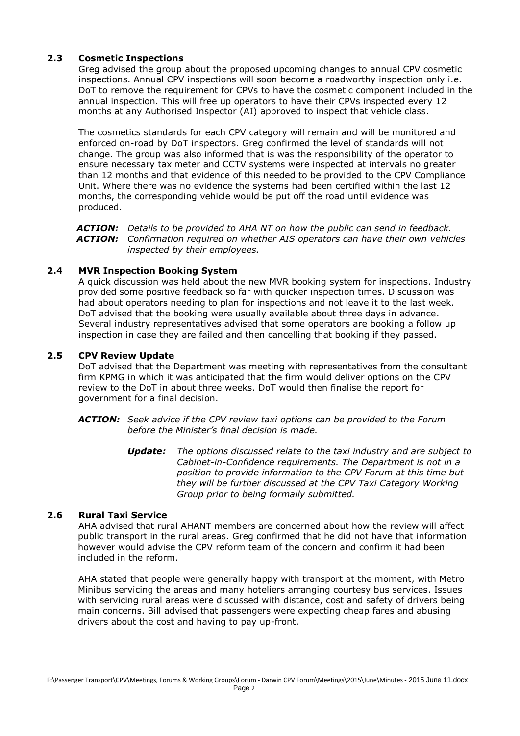#### **2.3 Cosmetic Inspections**

Greg advised the group about the proposed upcoming changes to annual CPV cosmetic inspections. Annual CPV inspections will soon become a roadworthy inspection only i.e. DoT to remove the requirement for CPVs to have the cosmetic component included in the annual inspection. This will free up operators to have their CPVs inspected every 12 months at any Authorised Inspector (AI) approved to inspect that vehicle class.

The cosmetics standards for each CPV category will remain and will be monitored and enforced on-road by DoT inspectors. Greg confirmed the level of standards will not change. The group was also informed that is was the responsibility of the operator to ensure necessary taximeter and CCTV systems were inspected at intervals no greater than 12 months and that evidence of this needed to be provided to the CPV Compliance Unit. Where there was no evidence the systems had been certified within the last 12 months, the corresponding vehicle would be put off the road until evidence was produced.

*ACTION: Details to be provided to AHA NT on how the public can send in feedback. ACTION: Confirmation required on whether AIS operators can have their own vehicles inspected by their employees.*

#### **2.4 MVR Inspection Booking System**

A quick discussion was held about the new MVR booking system for inspections. Industry provided some positive feedback so far with quicker inspection times. Discussion was had about operators needing to plan for inspections and not leave it to the last week. DoT advised that the booking were usually available about three days in advance. Several industry representatives advised that some operators are booking a follow up inspection in case they are failed and then cancelling that booking if they passed.

#### **2.5 CPV Review Update**

DoT advised that the Department was meeting with representatives from the consultant firm KPMG in which it was anticipated that the firm would deliver options on the CPV review to the DoT in about three weeks. DoT would then finalise the report for government for a final decision.

- *ACTION: Seek advice if the CPV review taxi options can be provided to the Forum before the Minister's final decision is made.*
	- *Update: The options discussed relate to the taxi industry and are subject to Cabinet-in-Confidence requirements. The Department is not in a position to provide information to the CPV Forum at this time but they will be further discussed at the CPV Taxi Category Working Group prior to being formally submitted.*

#### **2.6 Rural Taxi Service**

AHA advised that rural AHANT members are concerned about how the review will affect public transport in the rural areas. Greg confirmed that he did not have that information however would advise the CPV reform team of the concern and confirm it had been included in the reform.

AHA stated that people were generally happy with transport at the moment, with Metro Minibus servicing the areas and many hoteliers arranging courtesy bus services. Issues with servicing rural areas were discussed with distance, cost and safety of drivers being main concerns. Bill advised that passengers were expecting cheap fares and abusing drivers about the cost and having to pay up-front.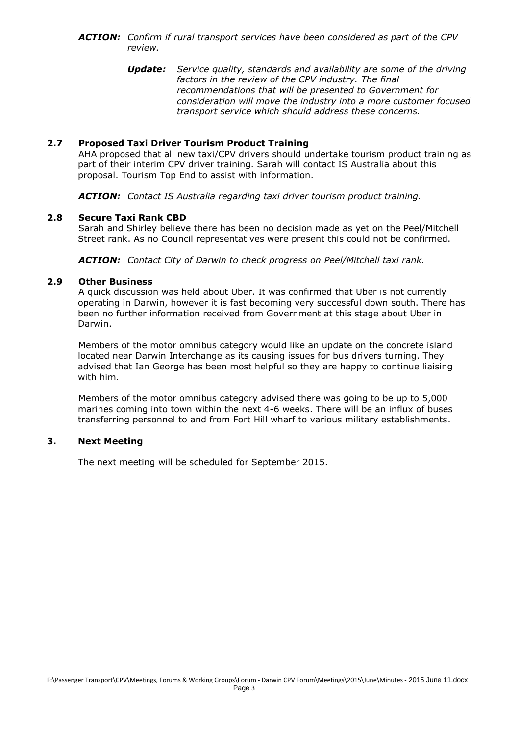- *ACTION: Confirm if rural transport services have been considered as part of the CPV review.*
	- *Update: Service quality, standards and availability are some of the driving factors in the review of the CPV industry. The final recommendations that will be presented to Government for consideration will move the industry into a more customer focused transport service which should address these concerns.*

#### **2.7 Proposed Taxi Driver Tourism Product Training**

AHA proposed that all new taxi/CPV drivers should undertake tourism product training as part of their interim CPV driver training. Sarah will contact IS Australia about this proposal. Tourism Top End to assist with information.

*ACTION: Contact IS Australia regarding taxi driver tourism product training.*

#### **2.8 Secure Taxi Rank CBD**

Sarah and Shirley believe there has been no decision made as yet on the Peel/Mitchell Street rank. As no Council representatives were present this could not be confirmed.

*ACTION: Contact City of Darwin to check progress on Peel/Mitchell taxi rank.*

#### **2.9 Other Business**

A quick discussion was held about Uber. It was confirmed that Uber is not currently operating in Darwin, however it is fast becoming very successful down south. There has been no further information received from Government at this stage about Uber in Darwin.

Members of the motor omnibus category would like an update on the concrete island located near Darwin Interchange as its causing issues for bus drivers turning. They advised that Ian George has been most helpful so they are happy to continue liaising with him.

Members of the motor omnibus category advised there was going to be up to 5,000 marines coming into town within the next 4-6 weeks. There will be an influx of buses transferring personnel to and from Fort Hill wharf to various military establishments.

#### **3. Next Meeting**

The next meeting will be scheduled for September 2015.